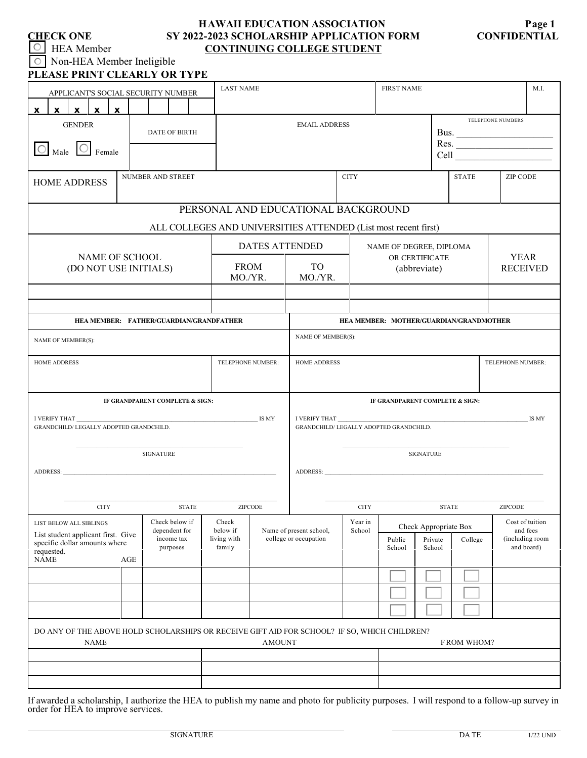## **HAWAII EDUCATION ASSOCIATION Page 1 CHECK ONE SY 2022-2023 SCHOLARSHIP APPLICATION FORM CONFIDENTIAL HEA Member <b>CONTINUING COLLEGE STUDENT**

 Non-HEA Member Ineligible  $\circ$ **PLEASE PRINT CLEARLY OR TYPE** X X X X X GENDER DATE OF BIRTH  $\overline{\bigcirc}$  Male  $\overline{\bigcirc}$  Female HOME ADDRESS

| ASE PRINT CLEARLY OR TYPE                               |   |                      |  |  |                                                  |                   |  |              |                 |  |
|---------------------------------------------------------|---|----------------------|--|--|--------------------------------------------------|-------------------|--|--------------|-----------------|--|
| APPLICANT'S SOCIAL SECURITY NUMBER                      |   |                      |  |  | <b>LAST NAME</b>                                 | <b>FIRST NAME</b> |  | M.I.         |                 |  |
| $\mathbf{x}$<br>$\mathbf{x}$<br>$\mathbf{x}$            | X |                      |  |  |                                                  |                   |  |              |                 |  |
| <b>GENDER</b><br><b>DATE OF BIRTH</b><br>Male<br>Female |   | <b>EMAIL ADDRESS</b> |  |  | <b>TELEPHONE NUMBERS</b><br>Bus.<br>Res.<br>Cell |                   |  |              |                 |  |
| <b>ME ADDRESS</b>                                       |   | NUMBER AND STREET    |  |  | <b>CITY</b>                                      |                   |  | <b>STATE</b> | <b>ZIP CODE</b> |  |

# PERSONAL AND EDUCATIONAL BACKGROUND

| ALL COLLEGES AND UNIVERSITIES ATTENDED (List most recent first)                                                                                    |                    |                                         |                                                                   |                                                  |                   |                                                           |                   |         |                   |                                           |
|----------------------------------------------------------------------------------------------------------------------------------------------------|--------------------|-----------------------------------------|-------------------------------------------------------------------|--------------------------------------------------|-------------------|-----------------------------------------------------------|-------------------|---------|-------------------|-------------------------------------------|
|                                                                                                                                                    |                    |                                         | <b>DATES ATTENDED</b>                                             |                                                  |                   | NAME OF DEGREE, DIPLOMA<br>OR CERTIFICATE<br>(abbreviate) |                   |         |                   |                                           |
| NAME OF SCHOOL<br>(DO NOT USE INITIALS)                                                                                                            |                    | <b>FROM</b><br>MO./YR.                  |                                                                   | TO<br>MO./YR.                                    |                   |                                                           |                   |         |                   | <b>YEAR</b><br><b>RECEIVED</b>            |
|                                                                                                                                                    |                    |                                         |                                                                   |                                                  |                   |                                                           |                   |         |                   |                                           |
|                                                                                                                                                    |                    |                                         |                                                                   |                                                  |                   |                                                           |                   |         |                   |                                           |
| HEA MEMBER: FATHER/GUARDIAN/GRANDFATHER                                                                                                            |                    | HEA MEMBER: MOTHER/GUARDIAN/GRANDMOTHER |                                                                   |                                                  |                   |                                                           |                   |         |                   |                                           |
| NAME OF MEMBER(S):                                                                                                                                 | NAME OF MEMBER(S): |                                         |                                                                   |                                                  |                   |                                                           |                   |         |                   |                                           |
| <b>HOME ADDRESS</b>                                                                                                                                |                    | TELEPHONE NUMBER:                       |                                                                   | <b>HOME ADDRESS</b>                              |                   |                                                           |                   |         | TELEPHONE NUMBER: |                                           |
|                                                                                                                                                    |                    |                                         |                                                                   |                                                  |                   |                                                           |                   |         |                   |                                           |
| IF GRANDPARENT COMPLETE & SIGN:                                                                                                                    |                    |                                         |                                                                   | IF GRANDPARENT COMPLETE & SIGN:                  |                   |                                                           |                   |         |                   |                                           |
| I VERIFY THAT<br>GRANDCHILD/ LEGALLY ADOPTED GRANDCHILD.                                                                                           |                    | IS MY                                   | I VERIFY THAT<br>IS MY<br>GRANDCHILD/ LEGALLY ADOPTED GRANDCHILD. |                                                  |                   |                                                           |                   |         |                   |                                           |
| <b>SIGNATURE</b>                                                                                                                                   |                    |                                         |                                                                   | <b>SIGNATURE</b>                                 |                   |                                                           |                   |         |                   |                                           |
|                                                                                                                                                    |                    |                                         |                                                                   |                                                  |                   |                                                           |                   |         |                   |                                           |
| ADDRESS:                                                                                                                                           |                    |                                         |                                                                   | <b>ADDRESS:</b>                                  |                   |                                                           |                   |         |                   |                                           |
| <b>CITY</b><br><b>STATE</b>                                                                                                                        |                    |                                         | ZIPCODE                                                           |                                                  | $\rm CITY$        |                                                           | <b>STATE</b>      |         |                   | ZIPCODE                                   |
| Check below if<br>LIST BELOW ALL SIBLINGS                                                                                                          |                    | Check                                   |                                                                   |                                                  | Year in<br>School | Check Appropriate Box                                     |                   |         |                   | Cost of tuition                           |
| dependent for<br>List student applicant first. Give<br>income tax<br>specific dollar amounts where<br>purposes<br>requested.<br><b>NAME</b><br>AGE |                    | below if<br>living with<br>family       |                                                                   | Name of present school,<br>college or occupation |                   | Public<br>School                                          | Private<br>School | College |                   | and fees<br>(including room<br>and board) |
|                                                                                                                                                    |                    |                                         |                                                                   |                                                  |                   |                                                           |                   |         |                   |                                           |
|                                                                                                                                                    |                    |                                         |                                                                   |                                                  |                   |                                                           |                   |         |                   |                                           |
|                                                                                                                                                    |                    |                                         |                                                                   |                                                  |                   |                                                           |                   |         |                   |                                           |
| DO ANY OF THE ABOVE HOLD SCHOLARSHIPS OR RECEIVE GIFT AID FOR SCHOOL? IF SO, WHICH CHILDREN?<br><b>NAME</b>                                        |                    |                                         | <b>AMOUNT</b>                                                     |                                                  |                   | FROM WHOM?                                                |                   |         |                   |                                           |
|                                                                                                                                                    |                    |                                         |                                                                   |                                                  |                   |                                                           |                   |         |                   |                                           |
|                                                                                                                                                    |                    |                                         |                                                                   |                                                  |                   |                                                           |                   |         |                   |                                           |

If awarded a scholarship, I authorize the HEA to publish my name and photo for publicity purposes. I will respond to a follow-up survey in order for HEA to improve services.